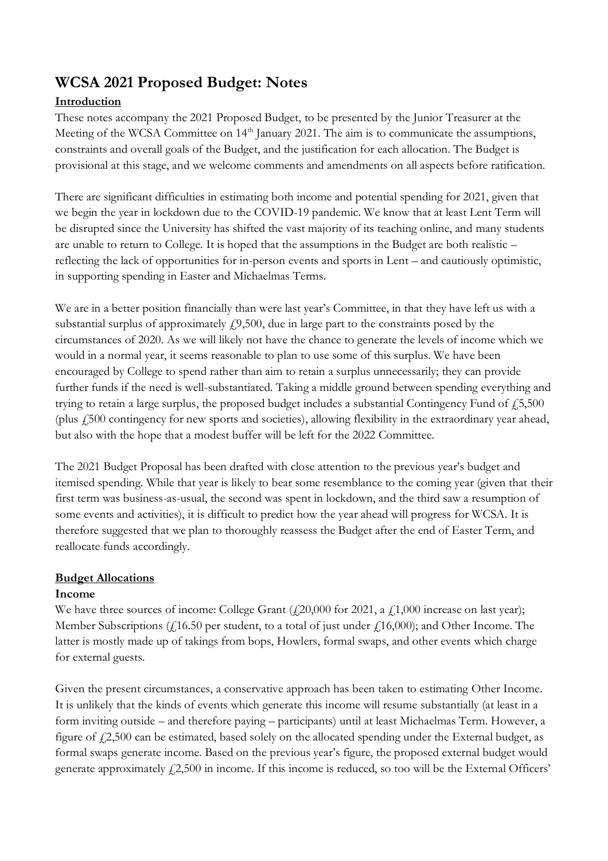# **WCSA 2021 Proposed Budget: Notes**

## **Introduction**

These notes accompany the 2021 Proposed Budget, to be presented by the Junior Treasurer at the Meeting of the WCSA Committee on 14<sup>th</sup> January 2021. The aim is to communicate the assumptions, constraints and overall goals of the Budget, and the justification for each allocation. The Budget is provisional at this stage, and we welcome comments and amendments on all aspects before ratification.

There are significant difficulties in estimating both income and potential spending for 2021, given that we begin the year in lockdown due to the COVID-19 pandemic. We know that at least Lent Term will be disrupted since the University has shifted the vast majority of its teaching online, and many students are unable to return to College. It is hoped that the assumptions in the Budget are both realistic – reflecting the lack of opportunities for in-person events and sports in Lent – and cautiously optimistic, in supporting spending in Easter and Michaelmas Terms.

We are in a better position financially than were last year's Committee, in that they have left us with a substantial surplus of approximately  $f(0,500)$ , due in large part to the constraints posed by the circumstances of 2020. As we will likely not have the chance to generate the levels of income which we would in a normal year, it seems reasonable to plan to use some of this surplus. We have been encouraged by College to spend rather than aim to retain a surplus unnecessarily; they can provide further funds if the need is well-substantiated. Taking a middle ground between spending everything and trying to retain a large surplus, the proposed budget includes a substantial Contingency Fund of  $\dot{\gamma}$  5,500 (plus £500 contingency for new sports and societies), allowing flexibility in the extraordinary year ahead, but also with the hope that a modest buffer will be left for the 2022 Committee.

The 2021 Budget Proposal has been drafted with close attention to the previous year's budget and itemised spending. While that year is likely to bear some resemblance to the coming year (given that their first term was business-as-usual, the second was spent in lockdown, and the third saw a resumption of some events and activities), it is difficult to predict how the year ahead will progress for WCSA. It is therefore suggested that we plan to thoroughly reassess the Budget after the end of Easter Term, and reallocate funds accordingly.

### **Budget Allocations**

### **Income**

We have three sources of income: College Grant  $(420,000$  for 2021, a  $41,000$  increase on last year); Member Subscriptions ( $\ell$ 16.50 per student, to a total of just under  $\ell$ 16,000); and Other Income. The latter is mostly made up of takings from bops, Howlers, formal swaps, and other events which charge for external guests.

Given the present circumstances, a conservative approach has been taken to estimating Other Income. It is unlikely that the kinds of events which generate this income will resume substantially (at least in a form inviting outside – and therefore paying – participants) until at least Michaelmas Term. However, a figure of  $\ell$ 2,500 can be estimated, based solely on the allocated spending under the External budget, as formal swaps generate income. Based on the previous year's figure, the proposed external budget would generate approximately  $f2,500$  in income. If this income is reduced, so too will be the External Officers'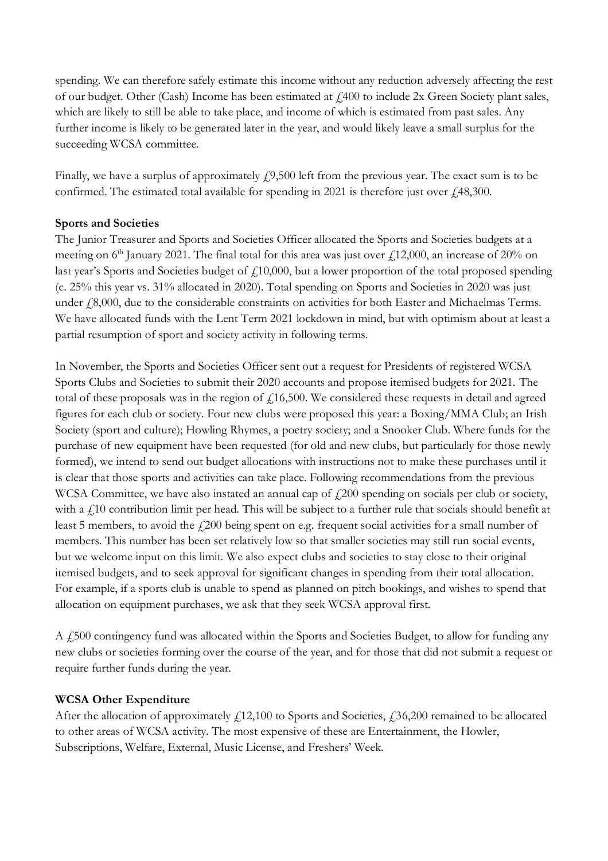spending. We can therefore safely estimate this income without any reduction adversely affecting the rest of our budget. Other (Cash) Income has been estimated at £400 to include 2x Green Society plant sales, which are likely to still be able to take place, and income of which is estimated from past sales. Any further income is likely to be generated later in the year, and would likely leave a small surplus for the succeeding WCSA committee.

Finally, we have a surplus of approximately  $\ell$ 9,500 left from the previous year. The exact sum is to be confirmed. The estimated total available for spending in 2021 is therefore just over  $\dot{\gamma}$  48,300.

#### **Sports and Societies**

The Junior Treasurer and Sports and Societies Officer allocated the Sports and Societies budgets at a meeting on  $6<sup>th</sup>$  January 2021. The final total for this area was just over  $\ell$ 12,000, an increase of 20% on last year's Sports and Societies budget of £10,000, but a lower proportion of the total proposed spending (c. 25% this year vs. 31% allocated in 2020). Total spending on Sports and Societies in 2020 was just under  $f(8,000)$ , due to the considerable constraints on activities for both Easter and Michaelmas Terms. We have allocated funds with the Lent Term 2021 lockdown in mind, but with optimism about at least a partial resumption of sport and society activity in following terms.

In November, the Sports and Societies Officer sent out a request for Presidents of registered WCSA Sports Clubs and Societies to submit their 2020 accounts and propose itemised budgets for 2021. The total of these proposals was in the region of  $f$ 16,500. We considered these requests in detail and agreed figures for each club or society. Four new clubs were proposed this year: a Boxing/MMA Club; an Irish Society (sport and culture); Howling Rhymes, a poetry society; and a Snooker Club. Where funds for the purchase of new equipment have been requested (for old and new clubs, but particularly for those newly formed), we intend to send out budget allocations with instructions not to make these purchases until it is clear that those sports and activities can take place. Following recommendations from the previous WCSA Committee, we have also instated an annual cap of  $\ell$  200 spending on socials per club or society, with a  $f10$  contribution limit per head. This will be subject to a further rule that socials should benefit at least 5 members, to avoid the £200 being spent on e.g. frequent social activities for a small number of members. This number has been set relatively low so that smaller societies may still run social events, but we welcome input on this limit. We also expect clubs and societies to stay close to their original itemised budgets, and to seek approval for significant changes in spending from their total allocation. For example, if a sports club is unable to spend as planned on pitch bookings, and wishes to spend that allocation on equipment purchases, we ask that they seek WCSA approval first.

A £500 contingency fund was allocated within the Sports and Societies Budget, to allow for funding any new clubs or societies forming over the course of the year, and for those that did not submit a request or require further funds during the year.

#### **WCSA Other Expenditure**

After the allocation of approximately  $f(12,100)$  to Sports and Societies,  $f(36,200)$  remained to be allocated to other areas of WCSA activity. The most expensive of these are Entertainment, the Howler, Subscriptions, Welfare, External, Music License, and Freshers' Week.